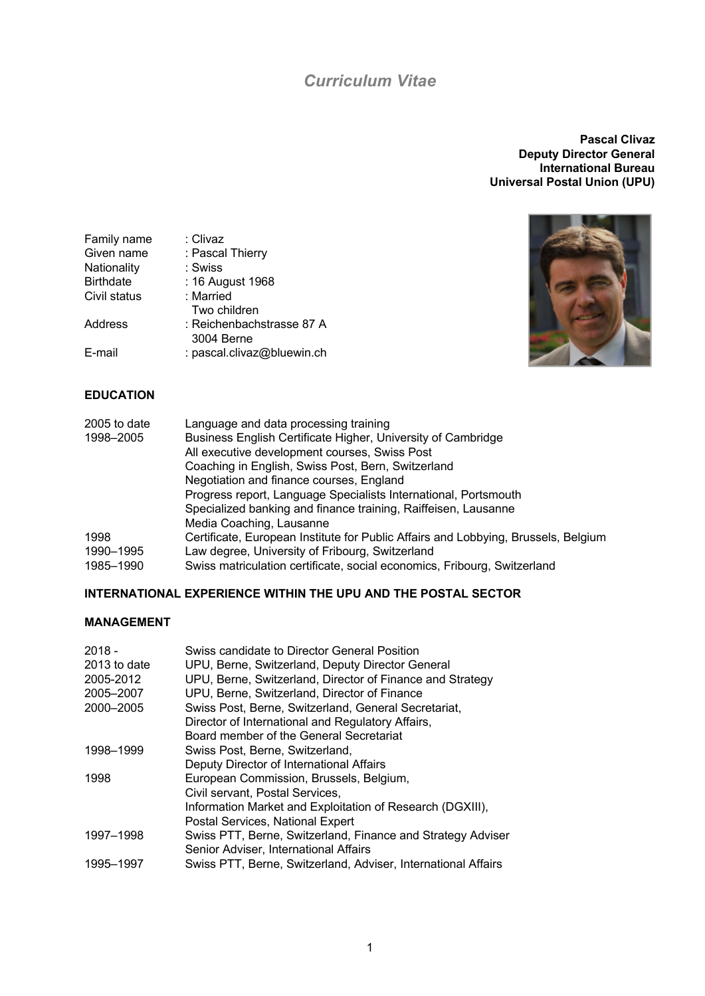# *Curriculum Vitae*

**Pascal Clivaz Deputy Director General International Bureau Universal Postal Union (UPU)**



#### Family name : Clivaz<br>Given name : Pascal : Pascal Thierry<br>: Swiss Nationality<br>Birthdate : 16 August 1968<br>: Married Civil status Two children Address : Reichenbachstrasse 87 A 3004 Berne E-mail : pascal.clivaz@bluewin.ch

#### **EDUCATION**

| 2005 to date | Language and data processing training                                              |
|--------------|------------------------------------------------------------------------------------|
| 1998-2005    | Business English Certificate Higher, University of Cambridge                       |
|              | All executive development courses, Swiss Post                                      |
|              | Coaching in English, Swiss Post, Bern, Switzerland                                 |
|              | Negotiation and finance courses, England                                           |
|              | Progress report, Language Specialists International, Portsmouth                    |
|              | Specialized banking and finance training, Raiffeisen, Lausanne                     |
|              | Media Coaching, Lausanne                                                           |
| 1998         | Certificate, European Institute for Public Affairs and Lobbying, Brussels, Belgium |
| 1990-1995    | Law degree, University of Fribourg, Switzerland                                    |
| 1985–1990    | Swiss matriculation certificate, social economics, Fribourg, Switzerland           |

## **INTERNATIONAL EXPERIENCE WITHIN THE UPU AND THE POSTAL SECTOR**

## **MANAGEMENT**

| $2018 -$     | Swiss candidate to Director General Position                                                         |
|--------------|------------------------------------------------------------------------------------------------------|
| 2013 to date | UPU, Berne, Switzerland, Deputy Director General                                                     |
| 2005-2012    | UPU, Berne, Switzerland, Director of Finance and Strategy                                            |
| 2005-2007    | UPU, Berne, Switzerland, Director of Finance                                                         |
| 2000-2005    | Swiss Post, Berne, Switzerland, General Secretariat,                                                 |
|              | Director of International and Regulatory Affairs,                                                    |
|              | Board member of the General Secretariat                                                              |
| 1998-1999    | Swiss Post, Berne, Switzerland,                                                                      |
|              | Deputy Director of International Affairs                                                             |
| 1998         | European Commission, Brussels, Belgium,                                                              |
|              | Civil servant, Postal Services,                                                                      |
|              | Information Market and Exploitation of Research (DGXIII),                                            |
|              | Postal Services, National Expert                                                                     |
| 1997-1998    | Swiss PTT, Berne, Switzerland, Finance and Strategy Adviser<br>Senior Adviser, International Affairs |
| 1995-1997    | Swiss PTT, Berne, Switzerland, Adviser, International Affairs                                        |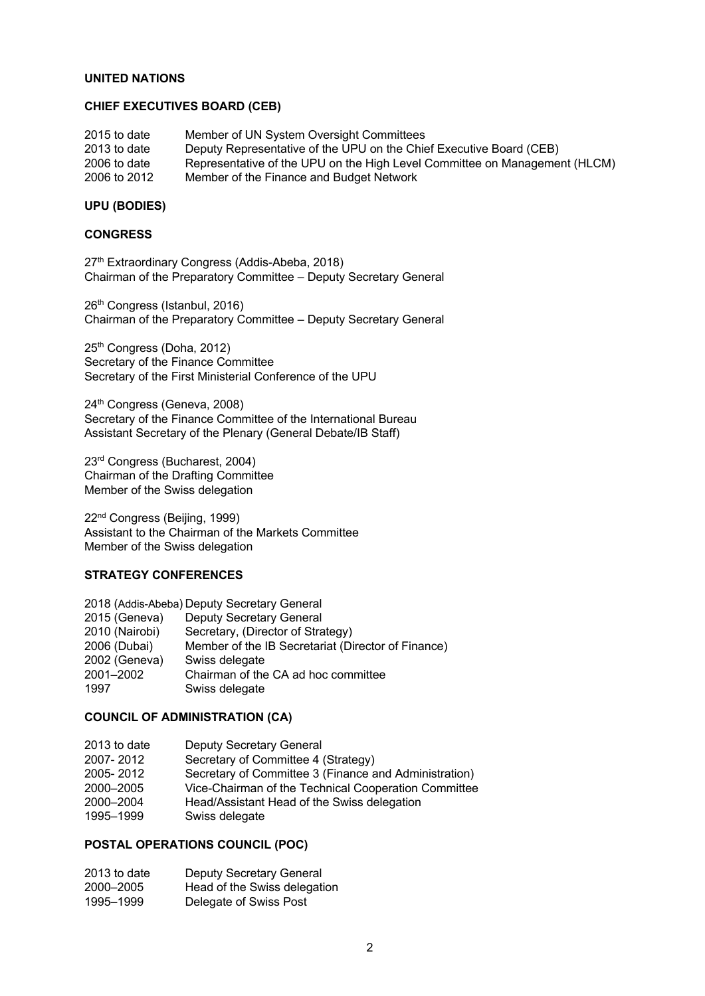#### **UNITED NATIONS**

## **CHIEF EXECUTIVES BOARD (CEB)**

| 2015 to date | Member of UN System Oversight Committees                                   |
|--------------|----------------------------------------------------------------------------|
| 2013 to date | Deputy Representative of the UPU on the Chief Executive Board (CEB)        |
| 2006 to date | Representative of the UPU on the High Level Committee on Management (HLCM) |
| 2006 to 2012 | Member of the Finance and Budget Network                                   |

#### **UPU (BODIES)**

#### **CONGRESS**

27<sup>th</sup> Extraordinary Congress (Addis-Abeba, 2018) Chairman of the Preparatory Committee – Deputy Secretary General

26<sup>th</sup> Congress (Istanbul, 2016) Chairman of the Preparatory Committee – Deputy Secretary General

25th Congress (Doha, 2012) Secretary of the Finance Committee Secretary of the First Ministerial Conference of the UPU

24<sup>th</sup> Congress (Geneva, 2008) Secretary of the Finance Committee of the International Bureau Assistant Secretary of the Plenary (General Debate/IB Staff)

23rd Congress (Bucharest, 2004) Chairman of the Drafting Committee Member of the Swiss delegation

22nd Congress (Beijing, 1999) Assistant to the Chairman of the Markets Committee Member of the Swiss delegation

### **STRATEGY CONFERENCES**

| 2018 (Addis-Abeba) Deputy Secretary General |                                                    |  |
|---------------------------------------------|----------------------------------------------------|--|
| 2015 (Geneva)                               | <b>Deputy Secretary General</b>                    |  |
| 2010 (Nairobi)                              | Secretary, (Director of Strategy)                  |  |
| 2006 (Dubai)                                | Member of the IB Secretariat (Director of Finance) |  |
| 2002 (Geneva)                               | Swiss delegate                                     |  |
| 2001-2002                                   | Chairman of the CA ad hoc committee                |  |
| 1997                                        | Swiss delegate                                     |  |

#### **COUNCIL OF ADMINISTRATION (CA)**

| 2013 to date | Deputy Secretary General                              |
|--------------|-------------------------------------------------------|
| 2007-2012    | Secretary of Committee 4 (Strategy)                   |
| 2005-2012    | Secretary of Committee 3 (Finance and Administration) |
| 2000-2005    | Vice-Chairman of the Technical Cooperation Committee  |
| 2000-2004    | Head/Assistant Head of the Swiss delegation           |
| 1995-1999    | Swiss delegate                                        |

## **POSTAL OPERATIONS COUNCIL (POC)**

| 2013 to date | Deputy Secretary General     |
|--------------|------------------------------|
| 2000-2005    | Head of the Swiss delegation |
| 1995-1999    | Delegate of Swiss Post       |